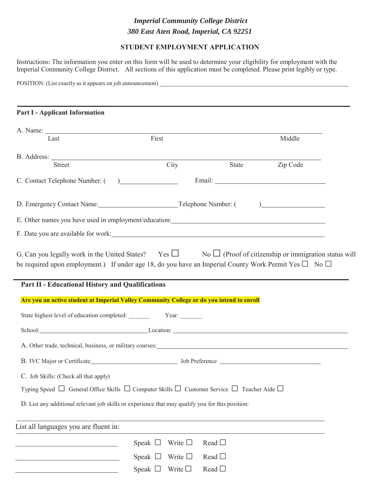## *Imperial Community College District 380 East Aten Road, Imperial, CA 92251*

## **STUDENT EMPLOYMENT APPLICATION**

Instructions: The information you enter on this form will be used to determine your eligibility for employment with the Imperial Community College District. All sections of this application must be completed. Please print legibly or type.

POSITION: (List exactly as it appears on job announcement)

## **Part I - Applicant Information** A. Name: Last First First Middle B. Address: Street City State Zip Code C. Contact Telephone Number: ( ) Email: D. Emergency Contact Name: Telephone Number: ( ) E. Other names you have used in employment/education: F. Date you are available for work: G. Can you legally work in the United States? Yes  $\Box$  No  $\Box$  (Proof of citizenship or immigration status will be required upon employment.) If under age 18, do you have an Imperial County Work Permit Yes  $\square$  No  $\square$ **Part II - Educational History and Qualifications Are you an active student at Imperial Valley Community College or do you intend to enroll** State highest level of education completed: Year: School: Location: Location: A. Other trade, technical, business, or military courses: B. IVC Major or Certificate Job Preference Job Preference C. Job Skills: (Check all that apply) Typing Speed  $\Box$  General Office Skills  $\Box$  Computer Skills  $\Box$  Customer Service  $\Box$  Teacher Aide  $\Box$ D. List any additional relevant job skills or experience that may qualify you for this position: List all languages you are fluent in: Speak  $\Box$  Write  $\Box$  Read  $\Box$ Speak  $\Box$  Write  $\Box$  Read  $\Box$ Speak  $\Box$  Write  $\Box$  Read  $\Box$